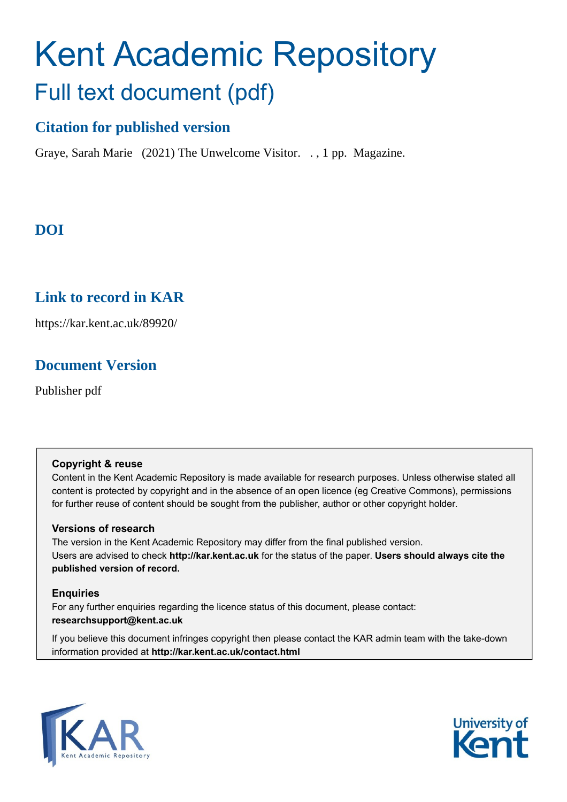# Kent Academic Repository Full text document (pdf)

# **Citation for published version**

Graye, Sarah Marie (2021) The Unwelcome Visitor. . , 1 pp. Magazine.

# **DOI**

# **Link to record in KAR**

https://kar.kent.ac.uk/89920/

# **Document Version**

Publisher pdf

### **Copyright & reuse**

Content in the Kent Academic Repository is made available for research purposes. Unless otherwise stated all content is protected by copyright and in the absence of an open licence (eg Creative Commons), permissions for further reuse of content should be sought from the publisher, author or other copyright holder.

### **Versions of research**

The version in the Kent Academic Repository may differ from the final published version. Users are advised to check **http://kar.kent.ac.uk** for the status of the paper. **Users should always cite the published version of record.**

### **Enquiries**

For any further enquiries regarding the licence status of this document, please contact: **researchsupport@kent.ac.uk**

If you believe this document infringes copyright then please contact the KAR admin team with the take-down information provided at **http://kar.kent.ac.uk/contact.html**



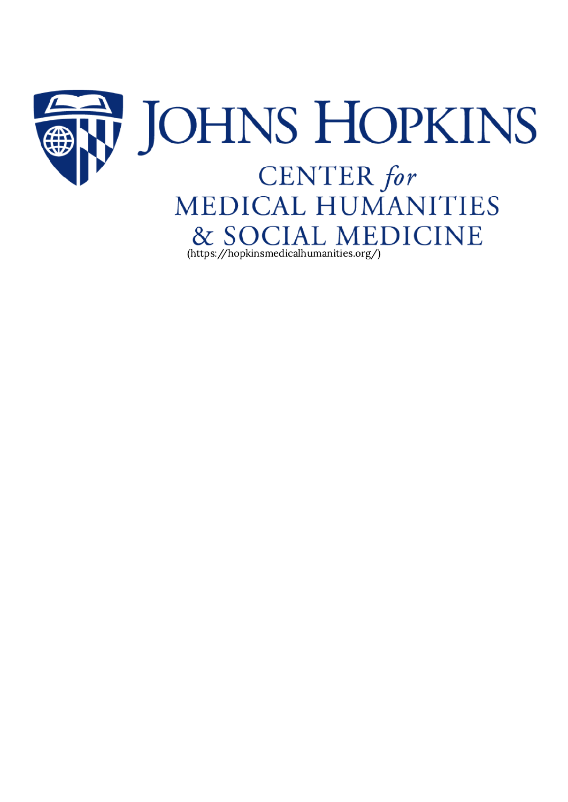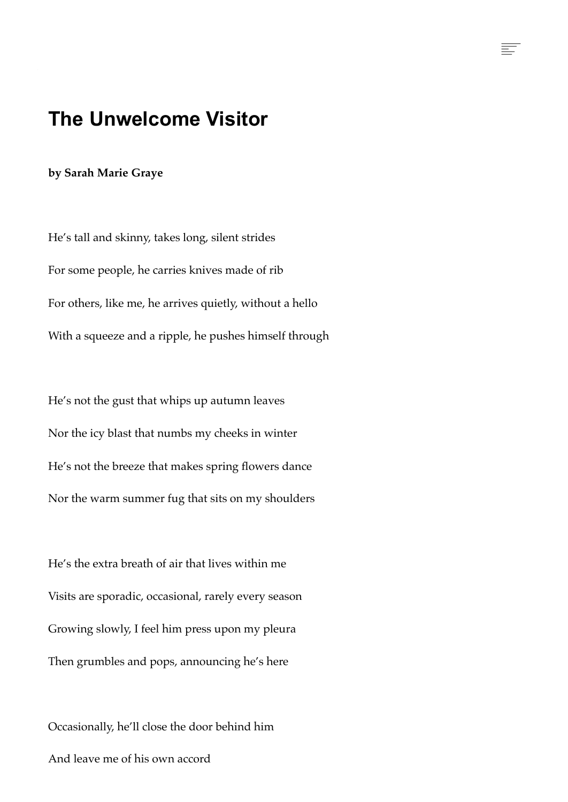# **The Unwelcome Visitor**

F

#### **by Sarah Marie Graye**

He's tall and skinny, takes long, silent strides For some people, he carries knives made of rib For others, like me, he arrives quietly, without a hello With a squeeze and a ripple, he pushes himself through

He's not the gust that whips up autumn leaves Nor the icy blast that numbs my cheeks in winter He's not the breeze that makes spring flowers dance Nor the warm summer fug that sits on my shoulders

He's the extra breath of air that lives within me Visits are sporadic, occasional, rarely every season Growing slowly, I feel him press upon my pleura Then grumbles and pops, announcing he's here

Occasionally, he'll close the door behind him And leave me of his own accord